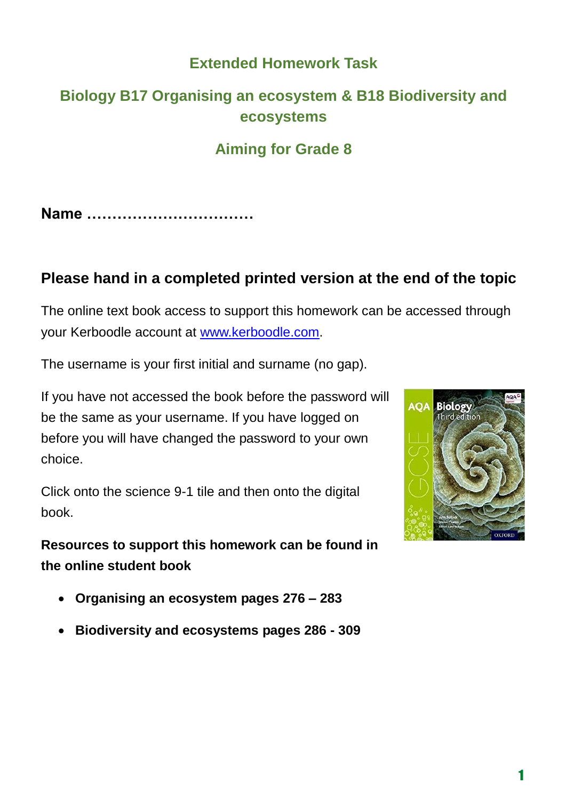# **Extended Homework Task**

# **Biology B17 Organising an ecosystem & B18 Biodiversity and ecosystems**

# **Aiming for Grade 8**

**Name ……………………………**

# **Please hand in a completed printed version at the end of the topic**

The online text book access to support this homework can be accessed through your Kerboodle account at [www.kerboodle.com.](http://www.kerboodle.com/)

The username is your first initial and surname (no gap).

If you have not accessed the book before the password will be the same as your username. If you have logged on before you will have changed the password to your own choice.

Click onto the science 9-1 tile and then onto the digital book.

**Resources to support this homework can be found in the online student book** 

- **Organising an ecosystem pages 276 – 283**
- **Biodiversity and ecosystems pages 286 - 309**

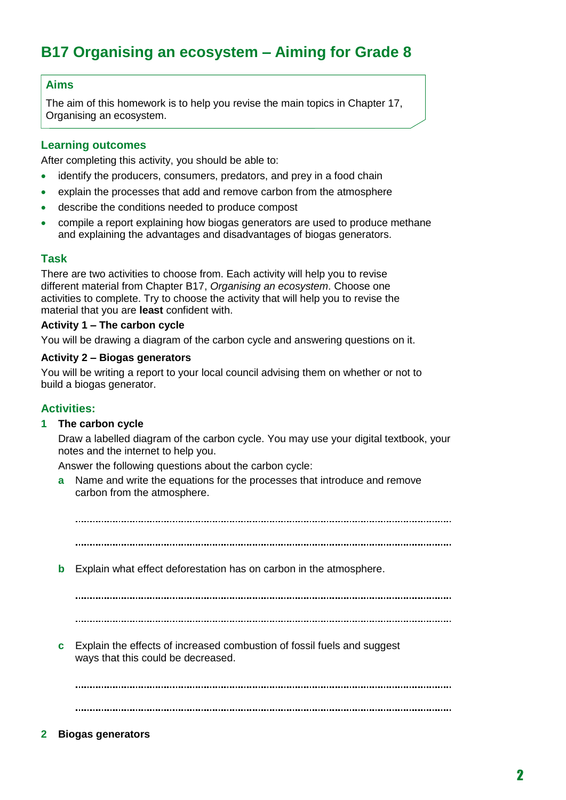# **B17 Organising an ecosystem – Aiming for Grade 8**

### **Aims**

The aim of this homework is to help you revise the main topics in Chapter 17, Organising an ecosystem.

### **Learning outcomes**

After completing this activity, you should be able to:

- identify the producers, consumers, predators, and prey in a food chain
- explain the processes that add and remove carbon from the atmosphere
- describe the conditions needed to produce compost
- compile a report explaining how biogas generators are used to produce methane and explaining the advantages and disadvantages of biogas generators.

### **Task**

There are two activities to choose from. Each activity will help you to revise different material from Chapter B17, *Organising an ecosystem*. Choose one activities to complete. Try to choose the activity that will help you to revise the material that you are **least** confident with.

#### **Activity 1 – The carbon cycle**

You will be drawing a diagram of the carbon cycle and answering questions on it.

### **Activity 2 – Biogas generators**

You will be writing a report to your local council advising them on whether or not to build a biogas generator.

### **Activities:**

### **1 The carbon cycle**

Draw a labelled diagram of the carbon cycle. You may use your digital textbook, your notes and the internet to help you.

Answer the following questions about the carbon cycle:

**a** Name and write the equations for the processes that introduce and remove carbon from the atmosphere.

**b** Explain what effect deforestation has on carbon in the atmosphere. **c** Explain the effects of increased combustion of fossil fuels and suggest ways that this could be decreased. 

**2 Biogas generators**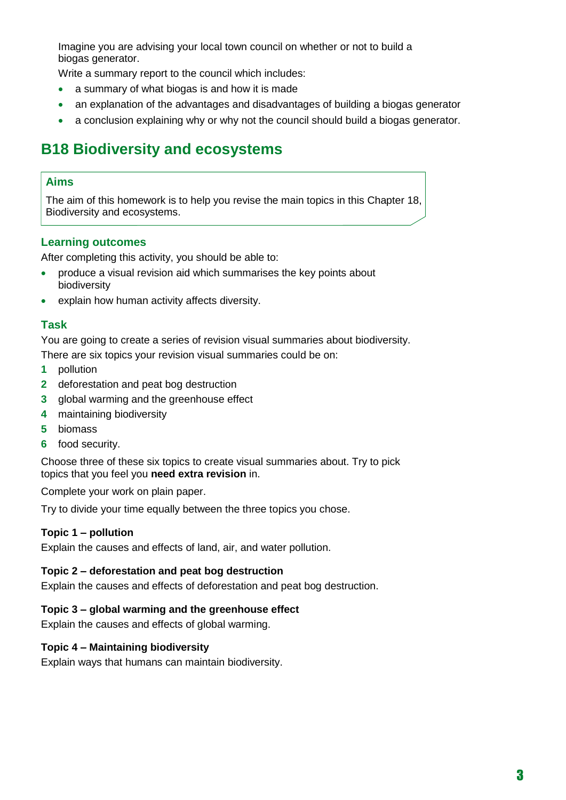Imagine you are advising your local town council on whether or not to build a biogas generator.

Write a summary report to the council which includes:

- a summary of what biogas is and how it is made
- an explanation of the advantages and disadvantages of building a biogas generator
- a conclusion explaining why or why not the council should build a biogas generator.

# **B18 Biodiversity and ecosystems**

## **Aims**

The aim of this homework is to help you revise the main topics in this Chapter 18, Biodiversity and ecosystems.

## **Learning outcomes**

After completing this activity, you should be able to:

- produce a visual revision aid which summarises the key points about biodiversity
- explain how human activity affects diversity.

## **Task**

You are going to create a series of revision visual summaries about biodiversity.

There are six topics your revision visual summaries could be on:

- **1** pollution
- **2** deforestation and peat bog destruction
- **3** global warming and the greenhouse effect
- **4** maintaining biodiversity
- **5** biomass
- **6** food security.

Choose three of these six topics to create visual summaries about. Try to pick topics that you feel you **need extra revision** in.

Complete your work on plain paper.

Try to divide your time equally between the three topics you chose.

## **Topic 1 – pollution**

Explain the causes and effects of land, air, and water pollution.

## **Topic 2 – deforestation and peat bog destruction**

Explain the causes and effects of deforestation and peat bog destruction.

## **Topic 3 – global warming and the greenhouse effect**

Explain the causes and effects of global warming.

## **Topic 4 – Maintaining biodiversity**

Explain ways that humans can maintain biodiversity.